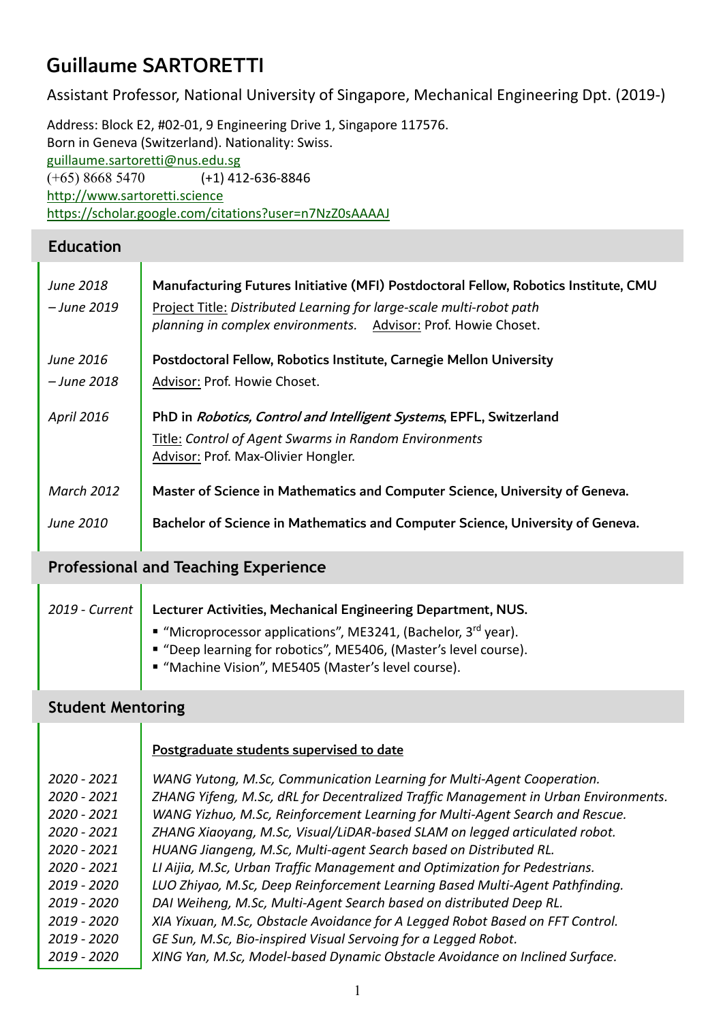# Guillaume SARTORETTI

Assistant Professor, National University of Singapore, Mechanical Engineering Dpt. (2019-)

Address: Block E2, #02-01, 9 Engineering Drive 1, Singapore 117576. Born in Geneva (Switzerland). Nationality: Swiss. [guillaume.sartoretti@nus.edu.sg](mailto:guillaume.sartoretti@nus.edu.sg) (+65) 8668 5470 (+1) 412-636-8846 [http://www.sartoretti.science](http://www.sartoretti.science/) <https://scholar.google.com/citations?user=n7NzZ0sAAAAJ>

#### **Education**

| June 2018<br>– June 2019 | Manufacturing Futures Initiative (MFI) Postdoctoral Fellow, Robotics Institute, CMU<br>Project Title: Distributed Learning for large-scale multi-robot path<br>planning in complex environments. Advisor: Prof. Howie Choset. |  |  |  |
|--------------------------|-------------------------------------------------------------------------------------------------------------------------------------------------------------------------------------------------------------------------------|--|--|--|
| June 2016                | Postdoctoral Fellow, Robotics Institute, Carnegie Mellon University                                                                                                                                                           |  |  |  |
| – June 2018              | Advisor: Prof. Howie Choset.                                                                                                                                                                                                  |  |  |  |
| April 2016               | PhD in Robotics, Control and Intelligent Systems, EPFL, Switzerland                                                                                                                                                           |  |  |  |
|                          | Title: Control of Agent Swarms in Random Environments                                                                                                                                                                         |  |  |  |
|                          | Advisor: Prof. Max-Olivier Hongler.                                                                                                                                                                                           |  |  |  |
| <b>March 2012</b>        | Master of Science in Mathematics and Computer Science, University of Geneva.                                                                                                                                                  |  |  |  |
| June 2010                | Bachelor of Science in Mathematics and Computer Science, University of Geneva.                                                                                                                                                |  |  |  |

### **Professional and Teaching Experience**

| Lecturer Activities, Mechanical Engineering Department, NUS.<br>2019 - Current |  |  |
|--------------------------------------------------------------------------------|--|--|
| ■ "Microprocessor applications", ME3241, (Bachelor, $3^{rd}$ year).            |  |  |
| ■ "Deep learning for robotics", ME5406, (Master's level course).               |  |  |
| ■ "Machine Vision", ME5405 (Master's level course).                            |  |  |
|                                                                                |  |  |

#### **Student Mentoring**

|             | Postgraduate students supervised to date                                            |
|-------------|-------------------------------------------------------------------------------------|
| 2020 - 2021 | WANG Yutong, M.Sc, Communication Learning for Multi-Agent Cooperation.              |
| 2020 - 2021 | ZHANG Yifeng, M.Sc, dRL for Decentralized Traffic Management in Urban Environments. |
| 2020 - 2021 | WANG Yizhuo, M.Sc, Reinforcement Learning for Multi-Agent Search and Rescue.        |
| 2020 - 2021 | ZHANG Xiaoyang, M.Sc, Visual/LiDAR-based SLAM on legged articulated robot.          |
| 2020 - 2021 | HUANG Jiangeng, M.Sc, Multi-agent Search based on Distributed RL.                   |
| 2020 - 2021 | LI Aijia, M.Sc, Urban Traffic Management and Optimization for Pedestrians.          |
| 2019 - 2020 | LUO Zhiyao, M.Sc, Deep Reinforcement Learning Based Multi-Agent Pathfinding.        |
| 2019 - 2020 | DAI Weiheng, M.Sc, Multi-Agent Search based on distributed Deep RL.                 |
| 2019 - 2020 | XIA Yixuan, M.Sc, Obstacle Avoidance for A Legged Robot Based on FFT Control.       |
| 2019 - 2020 | GE Sun, M.Sc, Bio-inspired Visual Servoing for a Legged Robot.                      |
| 2019 - 2020 | XING Yan, M.Sc, Model-based Dynamic Obstacle Avoidance on Inclined Surface.         |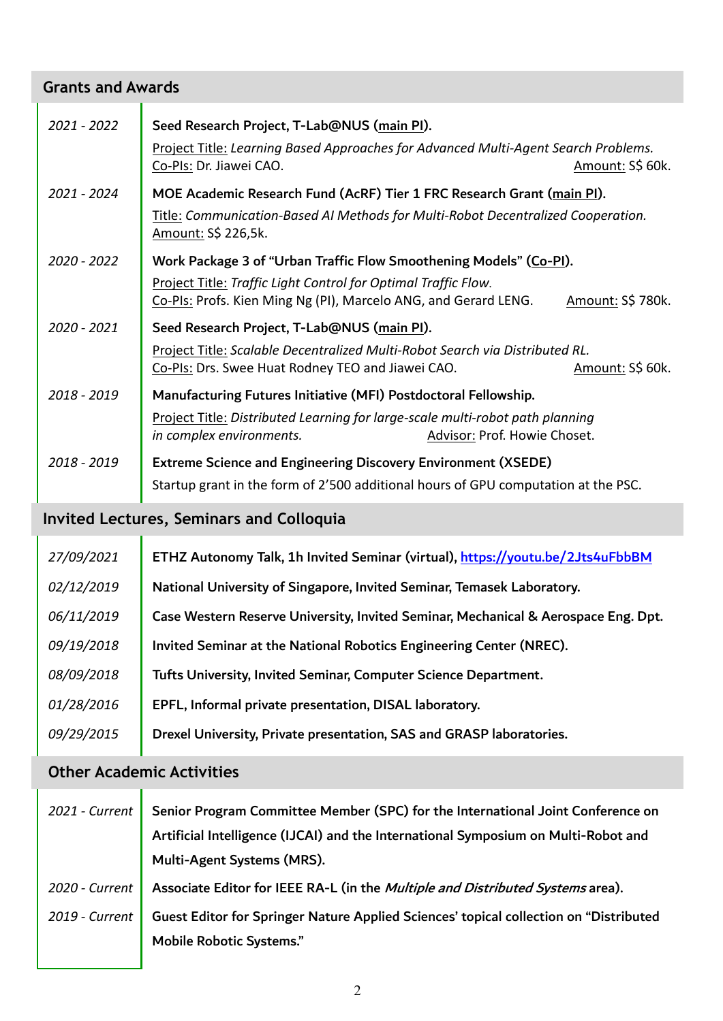### **Grants and Awards** *2021 - 2022* Seed Research Project, T-Lab@NUS (main PI). Project Title: *Learning Based Approaches for Advanced Multi-Agent Search Problems.* Co-PIs: Dr. Jiawei CAO. Amount: S\$ 60k. *2021 - 2024* MOE Academic Research Fund (AcRF) Tier 1 FRC Research Grant (main PI). Title: *Communication-Based AI Methods for Multi-Robot Decentralized Cooperation.* Amount: S\$ 226,5k. *2020 - 2022* Work Package 3 of "Urban Traffic Flow Smoothening Models" (Co-PI). Project Title: *Traffic Light Control for Optimal Traffic Flow.* Co-PIs: Profs. Kien Ming Ng (PI), Marcelo ANG, and Gerard LENG. Amount: S\$ 780k. *2020 - 2021* Seed Research Project, T-Lab@NUS (main PI). Project Title: *Scalable Decentralized Multi-Robot Search via Distributed RL.* Co-PIs: Drs. Swee Huat Rodney TEO and Jiawei CAO. Amount: S\$ 60k. *2018 - 2019* Manufacturing Futures Initiative (MFI) Postdoctoral Fellowship. Project Title: *Distributed Learning for large-scale multi-robot path planning in complex environments.* Advisor: Prof. Howie Choset. *2018 - 2019* Extreme Science and Engineering Discovery Environment (XSEDE) Startup grant in the form of 2'500 additional hours of GPU computation at the PSC.

#### **Invited Lectures, Seminars and Colloquia**

| 27/09/2021 | ETHZ Autonomy Talk, 1h Invited Seminar (virtual), https://voutu.be/2Jts4uFbbBM     |  |  |  |
|------------|------------------------------------------------------------------------------------|--|--|--|
| 02/12/2019 | National University of Singapore, Invited Seminar, Temasek Laboratory.             |  |  |  |
| 06/11/2019 | Case Western Reserve University, Invited Seminar, Mechanical & Aerospace Eng. Dpt. |  |  |  |
| 09/19/2018 | Invited Seminar at the National Robotics Engineering Center (NREC).                |  |  |  |
| 08/09/2018 | Tufts University, Invited Seminar, Computer Science Department.                    |  |  |  |
| 01/28/2016 | EPFL, Informal private presentation, DISAL laboratory.                             |  |  |  |
| 09/29/2015 | Drexel University, Private presentation, SAS and GRASP laboratories.               |  |  |  |
|            |                                                                                    |  |  |  |

#### **Other Academic Activities**

| 2021 - Current | Senior Program Committee Member (SPC) for the International Joint Conference on        |  |  |
|----------------|----------------------------------------------------------------------------------------|--|--|
|                | Artificial Intelligence (IJCAI) and the International Symposium on Multi-Robot and     |  |  |
|                | Multi-Agent Systems (MRS).                                                             |  |  |
| 2020 - Current | Associate Editor for IEEE RA-L (in the Multiple and Distributed Systems area).         |  |  |
| 2019 - Current | Guest Editor for Springer Nature Applied Sciences' topical collection on "Distributed" |  |  |
|                | <b>Mobile Robotic Systems."</b>                                                        |  |  |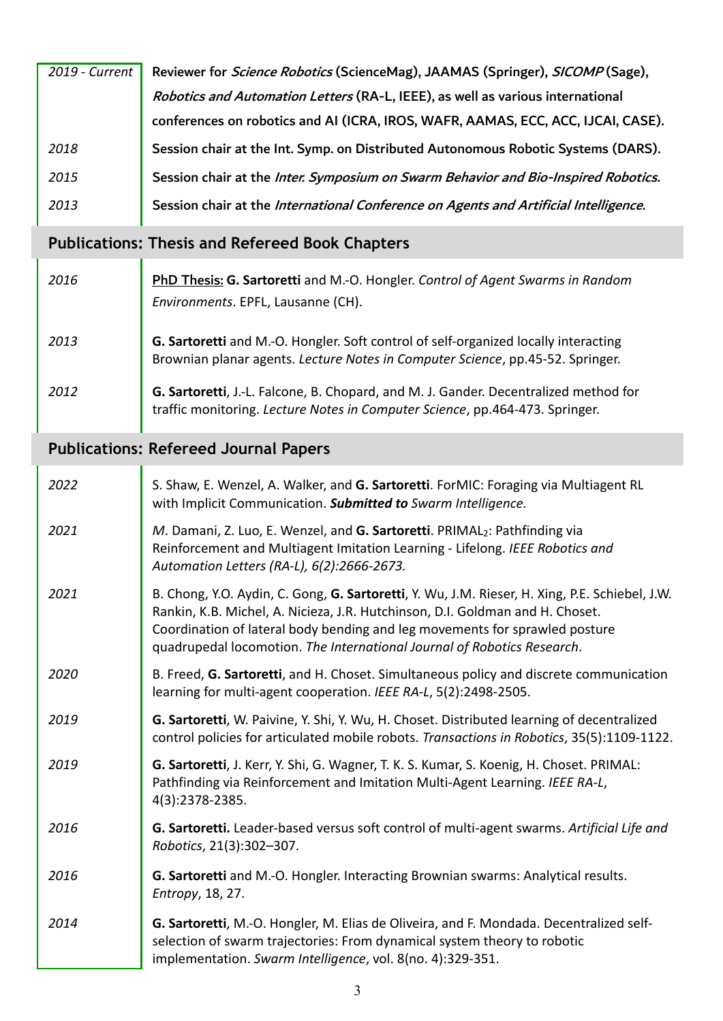| 2019 - Current | Reviewer for Science Robotics (ScienceMag), JAAMAS (Springer), SICOMP (Sage),        |  |  |
|----------------|--------------------------------------------------------------------------------------|--|--|
|                | Robotics and Automation Letters (RA-L, IEEE), as well as various international       |  |  |
|                | conferences on robotics and AI (ICRA, IROS, WAFR, AAMAS, ECC, ACC, IJCAI, CASE).     |  |  |
| 2018           | Session chair at the Int. Symp. on Distributed Autonomous Robotic Systems (DARS).    |  |  |
| 2015           | Session chair at the Inter. Symposium on Swarm Behavior and Bio-Inspired Robotics.   |  |  |
| 2013           | Session chair at the International Conference on Agents and Artificial Intelligence. |  |  |

## **Publications: Thesis and Refereed Book Chapters**

| 2016 | <b>PhD Thesis: G. Sartoretti</b> and M.-O. Hongler. Control of Agent Swarms in Random<br>Environments. EPFL, Lausanne (CH).                                           |
|------|-----------------------------------------------------------------------------------------------------------------------------------------------------------------------|
| 2013 | G. Sartoretti and M.-O. Hongler. Soft control of self-organized locally interacting<br>Brownian planar agents. Lecture Notes in Computer Science, pp.45-52. Springer. |
| 2012 | G. Sartoretti, J.-L. Falcone, B. Chopard, and M. J. Gander. Decentralized method for<br>traffic monitoring. Lecture Notes in Computer Science, pp.464-473. Springer.  |

# **Publications: Refereed Journal Papers**

| 2022 | S. Shaw, E. Wenzel, A. Walker, and G. Sartoretti. ForMIC: Foraging via Multiagent RL<br>with Implicit Communication. Submitted to Swarm Intelligence.                                                                                                                                                                                     |  |  |  |
|------|-------------------------------------------------------------------------------------------------------------------------------------------------------------------------------------------------------------------------------------------------------------------------------------------------------------------------------------------|--|--|--|
| 2021 | M. Damani, Z. Luo, E. Wenzel, and G. Sartoretti. PRIMAL <sub>2</sub> : Pathfinding via<br>Reinforcement and Multiagent Imitation Learning - Lifelong. IEEE Robotics and<br>Automation Letters (RA-L), 6(2):2666-2673.                                                                                                                     |  |  |  |
| 2021 | B. Chong, Y.O. Aydin, C. Gong, G. Sartoretti, Y. Wu, J.M. Rieser, H. Xing, P.E. Schiebel, J.W.<br>Rankin, K.B. Michel, A. Nicieza, J.R. Hutchinson, D.I. Goldman and H. Choset.<br>Coordination of lateral body bending and leg movements for sprawled posture<br>quadrupedal locomotion. The International Journal of Robotics Research. |  |  |  |
| 2020 | B. Freed, G. Sartoretti, and H. Choset. Simultaneous policy and discrete communication<br>learning for multi-agent cooperation. IEEE RA-L, 5(2):2498-2505.                                                                                                                                                                                |  |  |  |
| 2019 | G. Sartoretti, W. Paivine, Y. Shi, Y. Wu, H. Choset. Distributed learning of decentralized<br>control policies for articulated mobile robots. Transactions in Robotics, 35(5):1109-1122.                                                                                                                                                  |  |  |  |
| 2019 | G. Sartoretti, J. Kerr, Y. Shi, G. Wagner, T. K. S. Kumar, S. Koenig, H. Choset. PRIMAL:<br>Pathfinding via Reinforcement and Imitation Multi-Agent Learning. IEEE RA-L,<br>4(3):2378-2385.                                                                                                                                               |  |  |  |
| 2016 | G. Sartoretti. Leader-based versus soft control of multi-agent swarms. Artificial Life and<br>Robotics, 21(3):302-307.                                                                                                                                                                                                                    |  |  |  |
| 2016 | G. Sartoretti and M.-O. Hongler. Interacting Brownian swarms: Analytical results.<br>Entropy, 18, 27.                                                                                                                                                                                                                                     |  |  |  |
| 2014 | G. Sartoretti, M.-O. Hongler, M. Elias de Oliveira, and F. Mondada. Decentralized self-<br>selection of swarm trajectories: From dynamical system theory to robotic<br>implementation. Swarm Intelligence, vol. 8(no. 4):329-351.                                                                                                         |  |  |  |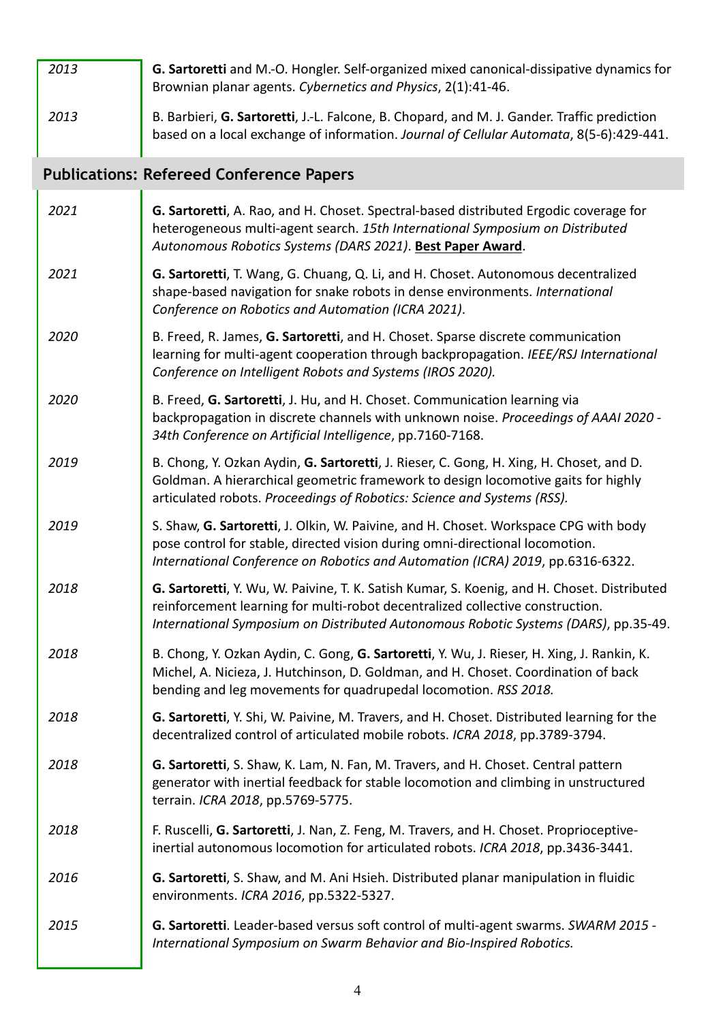| 2013 | G. Sartoretti and M.-O. Hongler. Self-organized mixed canonical-dissipative dynamics for<br>Brownian planar agents. Cybernetics and Physics, 2(1):41-46.                                                                                                            |  |  |
|------|---------------------------------------------------------------------------------------------------------------------------------------------------------------------------------------------------------------------------------------------------------------------|--|--|
| 2013 | B. Barbieri, G. Sartoretti, J.-L. Falcone, B. Chopard, and M. J. Gander. Traffic prediction<br>based on a local exchange of information. Journal of Cellular Automata, 8(5-6):429-441.                                                                              |  |  |
|      | <b>Publications: Refereed Conference Papers</b>                                                                                                                                                                                                                     |  |  |
| 2021 | G. Sartoretti, A. Rao, and H. Choset. Spectral-based distributed Ergodic coverage for<br>heterogeneous multi-agent search. 15th International Symposium on Distributed<br>Autonomous Robotics Systems (DARS 2021). Best Paper Award.                                |  |  |
| 2021 | G. Sartoretti, T. Wang, G. Chuang, Q. Li, and H. Choset. Autonomous decentralized<br>shape-based navigation for snake robots in dense environments. International<br>Conference on Robotics and Automation (ICRA 2021).                                             |  |  |
| 2020 | B. Freed, R. James, G. Sartoretti, and H. Choset. Sparse discrete communication<br>learning for multi-agent cooperation through backpropagation. IEEE/RSJ International<br>Conference on Intelligent Robots and Systems (IROS 2020).                                |  |  |
| 2020 | B. Freed, G. Sartoretti, J. Hu, and H. Choset. Communication learning via<br>backpropagation in discrete channels with unknown noise. Proceedings of AAAI 2020 -<br>34th Conference on Artificial Intelligence, pp.7160-7168.                                       |  |  |
| 2019 | B. Chong, Y. Ozkan Aydin, G. Sartoretti, J. Rieser, C. Gong, H. Xing, H. Choset, and D.<br>Goldman. A hierarchical geometric framework to design locomotive gaits for highly<br>articulated robots. Proceedings of Robotics: Science and Systems (RSS).             |  |  |
| 2019 | S. Shaw, G. Sartoretti, J. Olkin, W. Paivine, and H. Choset. Workspace CPG with body<br>pose control for stable, directed vision during omni-directional locomotion.<br>International Conference on Robotics and Automation (ICRA) 2019, pp.6316-6322.              |  |  |
| 2018 | G. Sartoretti, Y. Wu, W. Paivine, T. K. Satish Kumar, S. Koenig, and H. Choset. Distributed<br>reinforcement learning for multi-robot decentralized collective construction.<br>International Symposium on Distributed Autonomous Robotic Systems (DARS), pp.35-49. |  |  |
| 2018 | B. Chong, Y. Ozkan Aydin, C. Gong, G. Sartoretti, Y. Wu, J. Rieser, H. Xing, J. Rankin, K.<br>Michel, A. Nicieza, J. Hutchinson, D. Goldman, and H. Choset. Coordination of back<br>bending and leg movements for quadrupedal locomotion. RSS 2018.                 |  |  |
| 2018 | G. Sartoretti, Y. Shi, W. Paivine, M. Travers, and H. Choset. Distributed learning for the<br>decentralized control of articulated mobile robots. ICRA 2018, pp.3789-3794.                                                                                          |  |  |
| 2018 | G. Sartoretti, S. Shaw, K. Lam, N. Fan, M. Travers, and H. Choset. Central pattern<br>generator with inertial feedback for stable locomotion and climbing in unstructured<br>terrain. ICRA 2018, pp.5769-5775.                                                      |  |  |
| 2018 | F. Ruscelli, G. Sartoretti, J. Nan, Z. Feng, M. Travers, and H. Choset. Proprioceptive-<br>inertial autonomous locomotion for articulated robots. ICRA 2018, pp.3436-3441.                                                                                          |  |  |
| 2016 | G. Sartoretti, S. Shaw, and M. Ani Hsieh. Distributed planar manipulation in fluidic<br>environments. ICRA 2016, pp.5322-5327.                                                                                                                                      |  |  |
| 2015 | G. Sartoretti. Leader-based versus soft control of multi-agent swarms. SWARM 2015 -<br>International Symposium on Swarm Behavior and Bio-Inspired Robotics.                                                                                                         |  |  |

I